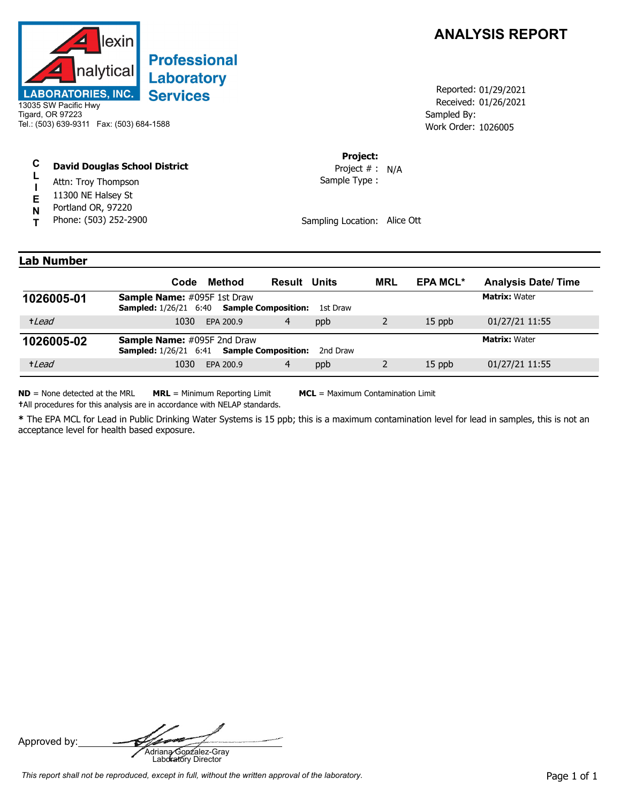

## **Professional Laboratory Services**

13035 SW Pacific Hwy Tigard, OR 97223 Tel.: (503) 639-9311 Fax: (503) 684-1588

## **C David Douglas School District**

- **L** Attn: Troy Thompson
- **I E** 11300 NE Halsey St
- Portland OR, 97220
- **N T** Phone: (503) 252-2900



Received: 01/26/2021 Work Order: 1026005 Reported: 01/29/2021 Sampled By:

**Project:**

Sample Type : Project # : N/A

Sampling Location: Alice Ott

## **Lab Number**

|            | Method<br>Code                                                                                | <b>Result Units</b> | <b>MRL</b> | <b>EPA MCL*</b> | <b>Analysis Date/Time</b> |
|------------|-----------------------------------------------------------------------------------------------|---------------------|------------|-----------------|---------------------------|
| 1026005-01 | <b>Sample Name:</b> #095F 1st Draw<br><b>Sampled:</b> 1/26/21 6:40 <b>Sample Composition:</b> | 1st Draw            |            |                 | <b>Matrix: Water</b>      |
| +Lead      | 1030<br>EPA 200.9                                                                             | 4<br>ppb            |            | $15$ ppb        | 01/27/21 11:55            |
| 1026005-02 | <b>Sample Name:</b> #095F 2nd Draw<br><b>Sampled:</b> 1/26/21 6:41 <b>Sample Composition:</b> | 2nd Draw            |            |                 | <b>Matrix: Water</b>      |
| +Lead      | 1030<br>EPA 200.9                                                                             | 4<br>ppb            |            | 15 ppb          | 01/27/21 11:55            |

**ND** = None detected at the MRL **MRL** = Minimum Reporting Limit **MCL** = Maximum Contamination Limit **†**All procedures for this analysis are in accordance with NELAP standards.

**\*** The EPA MCL for Lead in Public Drinking Water Systems is 15 ppb; this is a maximum contamination level for lead in samples, this is not an acceptance level for health based exposure.

Approved by: **Adriana Gonzalez-Gray**<br>Adriana Gonzalez-Gray<br>Laboratory Director